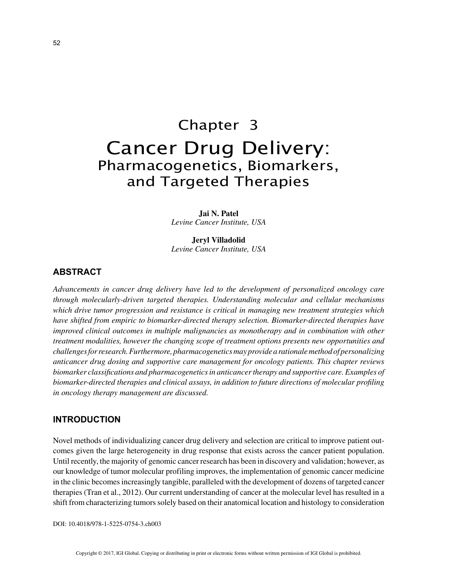# Chapter 3 Cancer Drug Delivery: Pharmacogenetics, Biomarkers, and Targeted Therapies

**Jai N. Patel** *Levine Cancer Institute, USA*

**Jeryl Villadolid** *Levine Cancer Institute, USA*

# **ABSTRACT**

*Advancements in cancer drug delivery have led to the development of personalized oncology care through molecularly-driven targeted therapies. Understanding molecular and cellular mechanisms which drive tumor progression and resistance is critical in managing new treatment strategies which have shifted from empiric to biomarker-directed therapy selection. Biomarker-directed therapies have improved clinical outcomes in multiple malignancies as monotherapy and in combination with other treatment modalities, however the changing scope of treatment options presents new opportunities and challenges for research. Furthermore, pharmacogenetics may provide a rationale method of personalizing anticancer drug dosing and supportive care management for oncology patients. This chapter reviews biomarker classifications and pharmacogenetics in anticancer therapy and supportive care. Examples of biomarker-directed therapies and clinical assays, in addition to future directions of molecular profiling in oncology therapy management are discussed.*

## **INTRODUCTION**

Novel methods of individualizing cancer drug delivery and selection are critical to improve patient outcomes given the large heterogeneity in drug response that exists across the cancer patient population. Until recently, the majority of genomic cancer research has been in discovery and validation; however, as our knowledge of tumor molecular profiling improves, the implementation of genomic cancer medicine in the clinic becomes increasingly tangible, paralleled with the development of dozens of targeted cancer therapies (Tran et al., 2012). Our current understanding of cancer at the molecular level has resulted in a shift from characterizing tumors solely based on their anatomical location and histology to consideration

DOI: 10.4018/978-1-5225-0754-3.ch003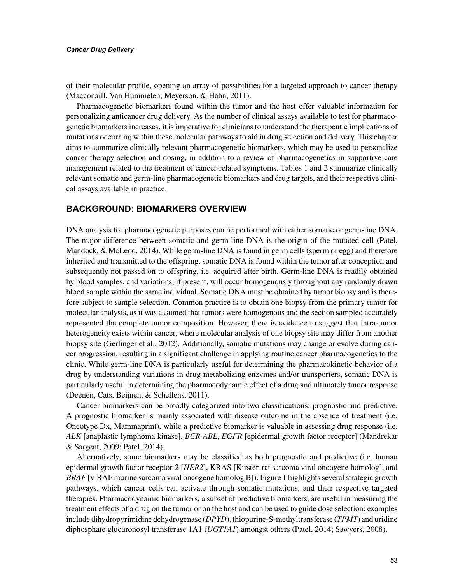#### *Cancer Drug Delivery*

of their molecular profile, opening an array of possibilities for a targeted approach to cancer therapy (Macconaill, Van Hummelen, Meyerson, & Hahn, 2011).

Pharmacogenetic biomarkers found within the tumor and the host offer valuable information for personalizing anticancer drug delivery. As the number of clinical assays available to test for pharmacogenetic biomarkers increases, it is imperative for clinicians to understand the therapeutic implications of mutations occurring within these molecular pathways to aid in drug selection and delivery. This chapter aims to summarize clinically relevant pharmacogenetic biomarkers, which may be used to personalize cancer therapy selection and dosing, in addition to a review of pharmacogenetics in supportive care management related to the treatment of cancer-related symptoms. Tables 1 and 2 summarize clinically relevant somatic and germ-line pharmacogenetic biomarkers and drug targets, and their respective clinical assays available in practice.

### **BACKGROUND: BIOMARKERS OVERVIEW**

DNA analysis for pharmacogenetic purposes can be performed with either somatic or germ-line DNA. The major difference between somatic and germ-line DNA is the origin of the mutated cell (Patel, Mandock, & McLeod, 2014). While germ-line DNA is found in germ cells (sperm or egg) and therefore inherited and transmitted to the offspring, somatic DNA is found within the tumor after conception and subsequently not passed on to offspring, i.e. acquired after birth. Germ-line DNA is readily obtained by blood samples, and variations, if present, will occur homogenously throughout any randomly drawn blood sample within the same individual. Somatic DNA must be obtained by tumor biopsy and is therefore subject to sample selection. Common practice is to obtain one biopsy from the primary tumor for molecular analysis, as it was assumed that tumors were homogenous and the section sampled accurately represented the complete tumor composition. However, there is evidence to suggest that intra-tumor heterogeneity exists within cancer, where molecular analysis of one biopsy site may differ from another biopsy site (Gerlinger et al., 2012). Additionally, somatic mutations may change or evolve during cancer progression, resulting in a significant challenge in applying routine cancer pharmacogenetics to the clinic. While germ-line DNA is particularly useful for determining the pharmacokinetic behavior of a drug by understanding variations in drug metabolizing enzymes and/or transporters, somatic DNA is particularly useful in determining the pharmacodynamic effect of a drug and ultimately tumor response (Deenen, Cats, Beijnen, & Schellens, 2011).

Cancer biomarkers can be broadly categorized into two classifications: prognostic and predictive. A prognostic biomarker is mainly associated with disease outcome in the absence of treatment (i.e. Oncotype Dx, Mammaprint), while a predictive biomarker is valuable in assessing drug response (i.e. *ALK* [anaplastic lymphoma kinase], *BCR-ABL*, *EGFR* [epidermal growth factor receptor] (Mandrekar & Sargent, 2009; Patel, 2014).

Alternatively, some biomarkers may be classified as both prognostic and predictive (i.e. human epidermal growth factor receptor-2 [*HER2*], KRAS [Kirsten rat sarcoma viral oncogene homolog], and *BRAF* [v-RAF murine sarcoma viral oncogene homolog B]). Figure 1 highlights several strategic growth pathways, which cancer cells can activate through somatic mutations, and their respective targeted therapies. Pharmacodynamic biomarkers, a subset of predictive biomarkers, are useful in measuring the treatment effects of a drug on the tumor or on the host and can be used to guide dose selection; examples include dihydropyrimidine dehydrogenase (*DPYD*), thiopurine-S-methyltransferase (*TPMT*) and uridine diphosphate glucuronosyl transferase 1A1 (*UGT1A1*) amongst others (Patel, 2014; Sawyers, 2008).